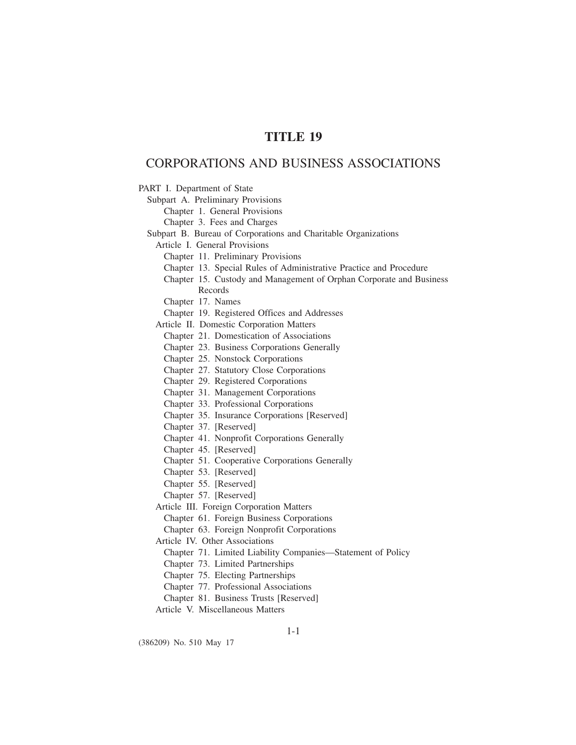# **TITLE 19**

# CORPORATIONS AND BUSINESS ASSOCIATIONS

PART I. Department of State

Subpart A. Preliminary Provisions

Chapter 1. General Provisions

Chapter 3. Fees and Charges

Subpart B. Bureau of Corporations and Charitable Organizations

Article I. General Provisions

Chapter 11. Preliminary Provisions

Chapter 13. Special Rules of Administrative Practice and Procedure

Chapter 15. Custody and Management of Orphan Corporate and Business Records

Chapter 17. Names

Chapter 19. Registered Offices and Addresses

Article II. Domestic Corporation Matters

- Chapter 21. Domestication of Associations
- Chapter 23. Business Corporations Generally
- Chapter 25. Nonstock Corporations
- Chapter 27. Statutory Close Corporations
- Chapter 29. Registered Corporations
- Chapter 31. Management Corporations
- Chapter 33. Professional Corporations
- Chapter 35. Insurance Corporations [Reserved]
- Chapter 37. [Reserved]
- Chapter 41. Nonprofit Corporations Generally

Chapter 45. [Reserved]

Chapter 51. Cooperative Corporations Generally

Chapter 53. [Reserved]

- Chapter 55. [Reserved]
- Chapter 57. [Reserved]

Article III. Foreign Corporation Matters

Chapter 61. Foreign Business Corporations

Chapter 63. Foreign Nonprofit Corporations

Article IV. Other Associations

- Chapter 71. Limited Liability Companies—Statement of Policy
- Chapter 73. Limited Partnerships

Chapter 75. Electing Partnerships

Chapter 77. Professional Associations

Chapter 81. Business Trusts [Reserved]

Article V. Miscellaneous Matters

(386209) No. 510 May 17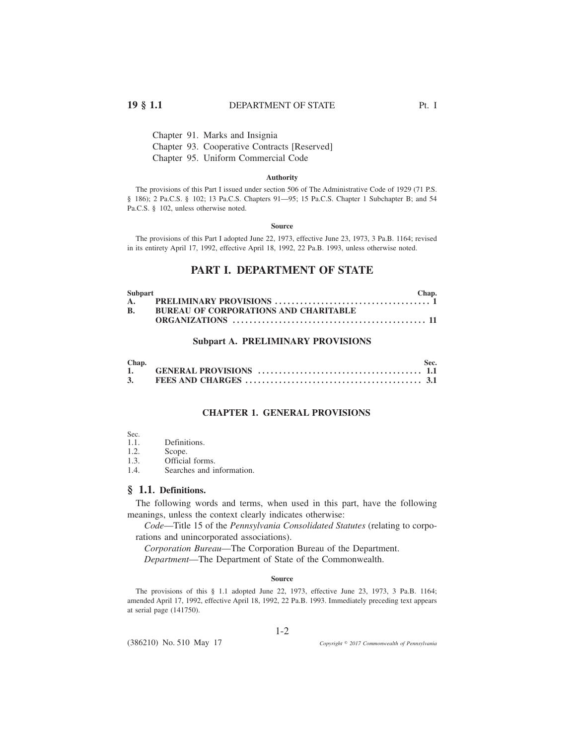## **19 § 1.1** DEPARTMENT OF STATE Pt. I

Chapter 91. Marks and Insignia Chapter 93. Cooperative Contracts [Reserved] Chapter 95. Uniform Commercial Code

#### **Authority**

The provisions of this Part I issued under section 506 of The Administrative Code of 1929 (71 P.S. § 186); 2 Pa.C.S. § 102; 13 Pa.C.S. Chapters 91—95; 15 Pa.C.S. Chapter 1 Subchapter B; and 54 Pa.C.S. § 102, unless otherwise noted.

#### **Source**

The provisions of this Part I adopted June 22, 1973, effective June 23, 1973, 3 Pa.B. 1164; revised in its entirety April 17, 1992, effective April 18, 1992, 22 Pa.B. 1993, unless otherwise noted.

## **PART I. DEPARTMENT OF STATE**

| Subpart   |                                              | Chap. |
|-----------|----------------------------------------------|-------|
|           |                                              |       |
| <b>B.</b> | <b>BUREAU OF CORPORATIONS AND CHARITABLE</b> |       |
|           |                                              |       |

## **Subpart A. PRELIMINARY PROVISIONS**

| Chap. |                                                                                                                                                                                                                                                                                                                                | Sec. |
|-------|--------------------------------------------------------------------------------------------------------------------------------------------------------------------------------------------------------------------------------------------------------------------------------------------------------------------------------|------|
|       | 1. GENERAL PROVISIONS $\ldots$ $\ldots$ $\ldots$ $\ldots$ $\ldots$ $\ldots$ $\ldots$ $\ldots$ $\ldots$ $\ldots$ $\ldots$ $\ldots$ $\ldots$ $\ldots$ $\ldots$ $\ldots$ $\ldots$ $\ldots$ $\ldots$ $\ldots$ $\ldots$ $\ldots$ $\ldots$ $\ldots$ $\ldots$ $\ldots$ $\ldots$ $\ldots$ $\ldots$ $\ldots$ $\ldots$ $\ldots$ $\ldots$ |      |
|       |                                                                                                                                                                                                                                                                                                                                |      |

#### **CHAPTER 1. GENERAL PROVISIONS**

- Sec.  $1.1$ .
- Definitions.
- 1.2. Scope.<br>1.3. Officia
- 1.3. **Official forms.**<br>1.4 **Searches and i**
- Searches and information.

## **§ 1.1. Definitions.**

The following words and terms, when used in this part, have the following meanings, unless the context clearly indicates otherwise:

*Code*—Title 15 of the *Pennsylvania Consolidated Statutes* (relating to corporations and unincorporated associations).

*Corporation Bureau*—The Corporation Bureau of the Department.

*Department*—The Department of State of the Commonwealth.

#### **Source**

The provisions of this § 1.1 adopted June 22, 1973, effective June 23, 1973, 3 Pa.B. 1164; amended April 17, 1992, effective April 18, 1992, 22 Pa.B. 1993. Immediately preceding text appears at serial page (141750).

(386210) No. 510 May 17

*2017 Commonwealth of Pennsylvania*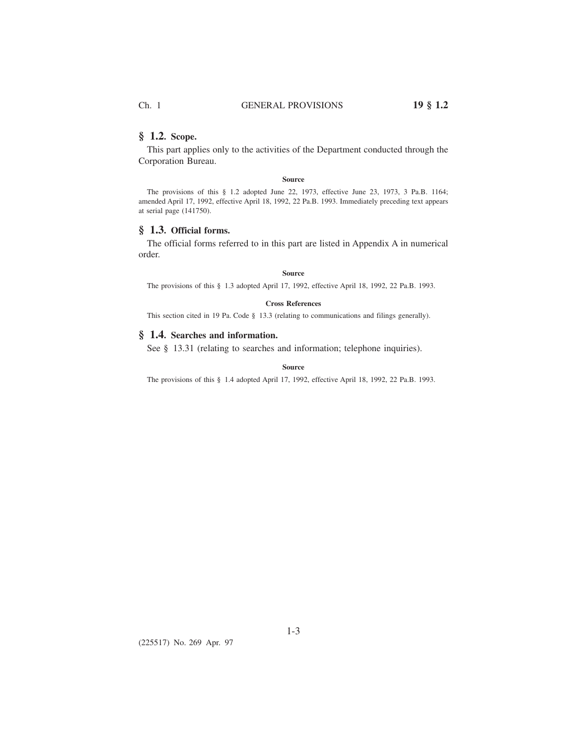### **§ 1.2. Scope.**

This part applies only to the activities of the Department conducted through the Corporation Bureau.

**Source**

The provisions of this § 1.2 adopted June 22, 1973, effective June 23, 1973, 3 Pa.B. 1164; amended April 17, 1992, effective April 18, 1992, 22 Pa.B. 1993. Immediately preceding text appears at serial page (141750).

### **§ 1.3. Official forms.**

The official forms referred to in this part are listed in Appendix A in numerical order.

#### **Source**

The provisions of this § 1.3 adopted April 17, 1992, effective April 18, 1992, 22 Pa.B. 1993.

#### **Cross References**

This section cited in 19 Pa. Code § 13.3 (relating to communications and filings generally).

## **§ 1.4. Searches and information.**

See § 13.31 (relating to searches and information; telephone inquiries).

**Source**

The provisions of this § 1.4 adopted April 17, 1992, effective April 18, 1992, 22 Pa.B. 1993.

(225517) No. 269 Apr. 97